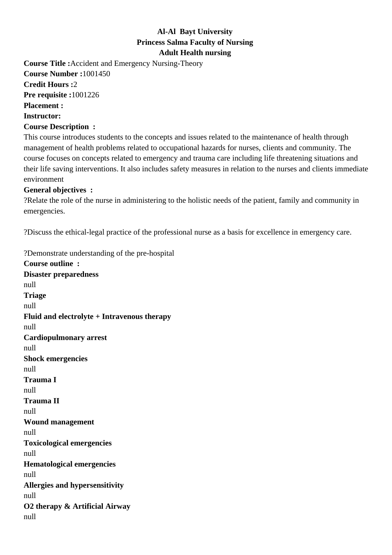## **Al-Al Bayt University Princess Salma Faculty of Nursing Adult Health nursing**

**Course Title :**Accident and Emergency Nursing-Theory **Course Number :**1001450 **Credit Hours :**2 **Pre requisite :**1001226 **Placement : Instructor: Course Description :**

This course introduces students to the concepts and issues related to the maintenance of health through management of health problems related to occupational hazards for nurses, clients and community. The course focuses on concepts related to emergency and trauma care including life threatening situations and their life saving interventions. It also includes safety measures in relation to the nurses and clients immediate environment

## **General objectives :**

? Relate the role of the nurse in administering to the holistic needs of the patient, family and community in emergencies.

? Discuss the ethical-legal practice of the professional nurse as a basis for excellence in emergency care.

? Demonstrate understanding of the pre-hospital

**Course outline : Disaster preparedness** null **Triage** null **Fluid and electrolyte + Intravenous therapy** null **Cardiopulmonary arrest** null **Shock emergencies**  null **Trauma I** null **Trauma II** null **Wound management**  null **Toxicological emergencies** null **Hematological emergencies** null **Allergies and hypersensitivity**  null **O2 therapy & Artificial Airway** null